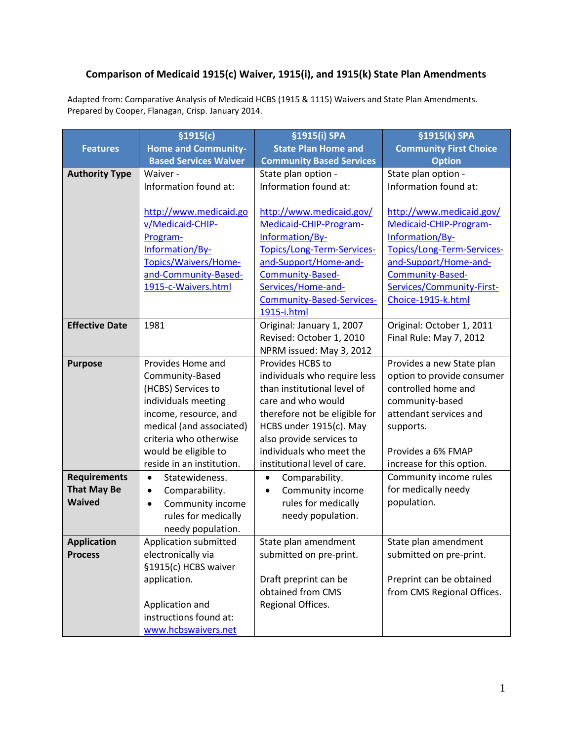## **Comparison of Medicaid 1915(c) Waiver, 1915(i), and 1915(k) State Plan Amendments**

Adapted from: Comparative Analysis of Medicaid HCBS (1915 & 1115) Waivers and State Plan Amendments. Prepared by Cooper, Flanagan, Crisp. January 2014.

|                       | \$1915(c)                     | §1915(i) SPA                     | §1915(k) SPA                  |
|-----------------------|-------------------------------|----------------------------------|-------------------------------|
| <b>Features</b>       | <b>Home and Community-</b>    | <b>State Plan Home and</b>       | <b>Community First Choice</b> |
|                       | <b>Based Services Waiver</b>  | <b>Community Based Services</b>  | <b>Option</b>                 |
| <b>Authority Type</b> | Waiver -                      | State plan option -              | State plan option -           |
|                       | Information found at:         | Information found at:            | Information found at:         |
|                       |                               |                                  |                               |
|                       | http://www.medicaid.go        | http://www.medicaid.gov/         | http://www.medicaid.gov/      |
|                       | v/Medicaid-CHIP-              | Medicaid-CHIP-Program-           | Medicaid-CHIP-Program-        |
|                       | Program-                      | Information/By-                  | Information/By-               |
|                       | Information/By-               | Topics/Long-Term-Services-       | Topics/Long-Term-Services-    |
|                       | Topics/Waivers/Home-          | and-Support/Home-and-            | and-Support/Home-and-         |
|                       | and-Community-Based-          | Community-Based-                 | Community-Based-              |
|                       | 1915-c-Waivers.html           | Services/Home-and-               | Services/Community-First-     |
|                       |                               | <b>Community-Based-Services-</b> | Choice-1915-k.html            |
|                       |                               | 1915-i.html                      |                               |
| <b>Effective Date</b> | 1981                          | Original: January 1, 2007        | Original: October 1, 2011     |
|                       |                               | Revised: October 1, 2010         | Final Rule: May 7, 2012       |
|                       |                               | NPRM issued: May 3, 2012         |                               |
| <b>Purpose</b>        | Provides Home and             | Provides HCBS to                 | Provides a new State plan     |
|                       | Community-Based               | individuals who require less     | option to provide consumer    |
|                       | (HCBS) Services to            | than institutional level of      | controlled home and           |
|                       | individuals meeting           | care and who would               | community-based               |
|                       | income, resource, and         | therefore not be eligible for    | attendant services and        |
|                       | medical (and associated)      | HCBS under 1915(c). May          | supports.                     |
|                       | criteria who otherwise        | also provide services to         |                               |
|                       | would be eligible to          | individuals who meet the         | Provides a 6% FMAP            |
|                       | reside in an institution.     | institutional level of care.     | increase for this option.     |
| <b>Requirements</b>   | Statewideness.<br>$\bullet$   | Comparability.<br>$\bullet$      | Community income rules        |
| <b>That May Be</b>    | Comparability.<br>٠           | Community income<br>٠            | for medically needy           |
| <b>Waived</b>         | Community income<br>$\bullet$ | rules for medically              | population.                   |
|                       | rules for medically           | needy population.                |                               |
|                       | needy population.             |                                  |                               |
| <b>Application</b>    | Application submitted         | State plan amendment             | State plan amendment          |
| <b>Process</b>        | electronically via            | submitted on pre-print.          | submitted on pre-print.       |
|                       | §1915(c) HCBS waiver          |                                  |                               |
|                       | application.                  | Draft preprint can be            | Preprint can be obtained      |
|                       |                               | obtained from CMS                | from CMS Regional Offices.    |
|                       | Application and               | Regional Offices.                |                               |
|                       | instructions found at:        |                                  |                               |
|                       | www.hcbswaivers.net           |                                  |                               |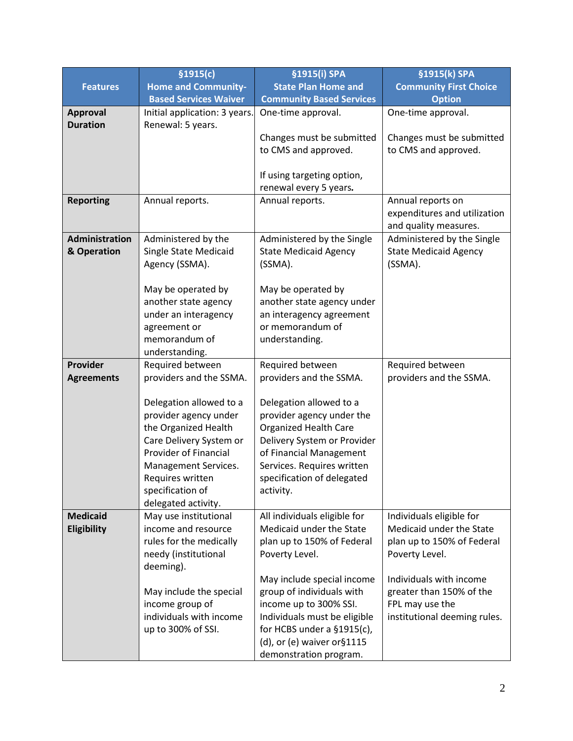|                       | \$1915(c)                                        | §1915(i) SPA                                              | §1915(k) SPA                                          |
|-----------------------|--------------------------------------------------|-----------------------------------------------------------|-------------------------------------------------------|
| <b>Features</b>       | <b>Home and Community-</b>                       | <b>State Plan Home and</b>                                | <b>Community First Choice</b>                         |
|                       | <b>Based Services Waiver</b>                     | <b>Community Based Services</b>                           | <b>Option</b>                                         |
| <b>Approval</b>       | Initial application: 3 years.                    | One-time approval.                                        | One-time approval.                                    |
| <b>Duration</b>       | Renewal: 5 years.                                |                                                           |                                                       |
|                       |                                                  | Changes must be submitted                                 | Changes must be submitted                             |
|                       |                                                  | to CMS and approved.                                      | to CMS and approved.                                  |
|                       |                                                  |                                                           |                                                       |
|                       |                                                  | If using targeting option,                                |                                                       |
|                       |                                                  | renewal every 5 years.                                    |                                                       |
| <b>Reporting</b>      | Annual reports.                                  | Annual reports.                                           | Annual reports on                                     |
|                       |                                                  |                                                           | expenditures and utilization<br>and quality measures. |
| <b>Administration</b> | Administered by the                              | Administered by the Single                                | Administered by the Single                            |
| & Operation           | <b>Single State Medicaid</b>                     | <b>State Medicaid Agency</b>                              | <b>State Medicaid Agency</b>                          |
|                       | Agency (SSMA).                                   | (SSMA).                                                   | (SSMA).                                               |
|                       |                                                  |                                                           |                                                       |
|                       | May be operated by                               | May be operated by                                        |                                                       |
|                       | another state agency                             | another state agency under                                |                                                       |
|                       | under an interagency                             | an interagency agreement                                  |                                                       |
|                       | agreement or                                     | or memorandum of                                          |                                                       |
|                       | memorandum of                                    | understanding.                                            |                                                       |
|                       | understanding.                                   |                                                           |                                                       |
| Provider              | Required between                                 | Required between                                          | Required between                                      |
| <b>Agreements</b>     | providers and the SSMA.                          | providers and the SSMA.                                   | providers and the SSMA.                               |
|                       |                                                  |                                                           |                                                       |
|                       | Delegation allowed to a<br>provider agency under | Delegation allowed to a                                   |                                                       |
|                       | the Organized Health                             | provider agency under the<br><b>Organized Health Care</b> |                                                       |
|                       | Care Delivery System or                          | Delivery System or Provider                               |                                                       |
|                       | Provider of Financial                            | of Financial Management                                   |                                                       |
|                       | Management Services.                             | Services. Requires written                                |                                                       |
|                       | Requires written                                 | specification of delegated                                |                                                       |
|                       | specification of                                 | activity.                                                 |                                                       |
|                       | delegated activity.                              |                                                           |                                                       |
| <b>Medicaid</b>       | May use institutional                            | All individuals eligible for                              | Individuals eligible for                              |
| Eligibility           | income and resource                              | Medicaid under the State                                  | Medicaid under the State                              |
|                       | rules for the medically                          | plan up to 150% of Federal                                | plan up to 150% of Federal                            |
|                       | needy (institutional                             | Poverty Level.                                            | Poverty Level.                                        |
|                       | deeming).                                        |                                                           |                                                       |
|                       |                                                  | May include special income                                | Individuals with income                               |
|                       | May include the special                          | group of individuals with                                 | greater than 150% of the                              |
|                       | income group of                                  | income up to 300% SSI.                                    | FPL may use the                                       |
|                       | individuals with income                          | Individuals must be eligible                              | institutional deeming rules.                          |
|                       | up to 300% of SSI.                               | for HCBS under a $§1915(c)$ ,                             |                                                       |
|                       |                                                  | (d), or (e) waiver or §1115                               |                                                       |
|                       |                                                  | demonstration program.                                    |                                                       |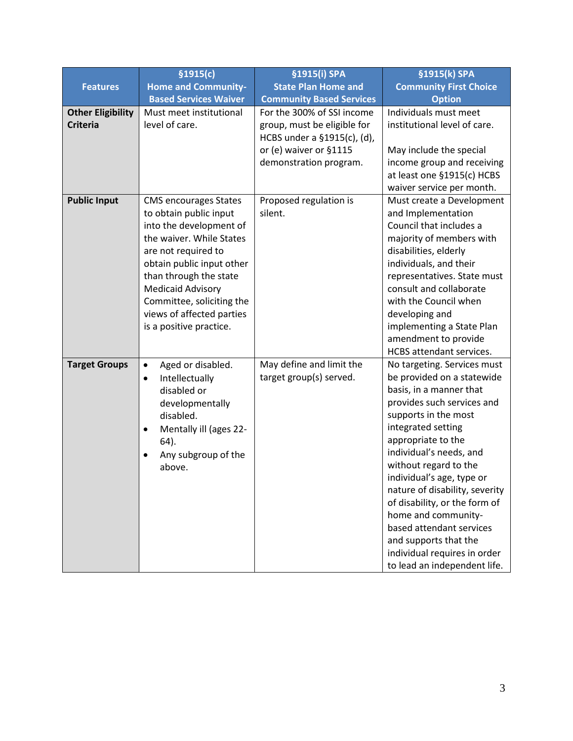|                                             | \$1915(c)                                                                                                                                                                                                                                                                                                    | §1915(i) SPA                                                                             | §1915(k) SPA                                                                                                                                                                                                                                                                                                                                                                                                                                                                           |
|---------------------------------------------|--------------------------------------------------------------------------------------------------------------------------------------------------------------------------------------------------------------------------------------------------------------------------------------------------------------|------------------------------------------------------------------------------------------|----------------------------------------------------------------------------------------------------------------------------------------------------------------------------------------------------------------------------------------------------------------------------------------------------------------------------------------------------------------------------------------------------------------------------------------------------------------------------------------|
| <b>Features</b>                             | <b>Home and Community-</b>                                                                                                                                                                                                                                                                                   | <b>State Plan Home and</b>                                                               | <b>Community First Choice</b>                                                                                                                                                                                                                                                                                                                                                                                                                                                          |
|                                             | <b>Based Services Waiver</b>                                                                                                                                                                                                                                                                                 | <b>Community Based Services</b>                                                          | <b>Option</b>                                                                                                                                                                                                                                                                                                                                                                                                                                                                          |
| <b>Other Eligibility</b><br><b>Criteria</b> | Must meet institutional<br>level of care.                                                                                                                                                                                                                                                                    | For the 300% of SSI income<br>group, must be eligible for<br>HCBS under a §1915(c), (d), | Individuals must meet<br>institutional level of care.                                                                                                                                                                                                                                                                                                                                                                                                                                  |
|                                             |                                                                                                                                                                                                                                                                                                              | or (e) waiver or §1115<br>demonstration program.                                         | May include the special<br>income group and receiving<br>at least one §1915(c) HCBS<br>waiver service per month.                                                                                                                                                                                                                                                                                                                                                                       |
| <b>Public Input</b>                         | <b>CMS encourages States</b><br>to obtain public input<br>into the development of<br>the waiver. While States<br>are not required to<br>obtain public input other<br>than through the state<br><b>Medicaid Advisory</b><br>Committee, soliciting the<br>views of affected parties<br>is a positive practice. | Proposed regulation is<br>silent.                                                        | Must create a Development<br>and Implementation<br>Council that includes a<br>majority of members with<br>disabilities, elderly<br>individuals, and their<br>representatives. State must<br>consult and collaborate<br>with the Council when<br>developing and<br>implementing a State Plan<br>amendment to provide<br>HCBS attendant services.                                                                                                                                        |
| <b>Target Groups</b>                        | Aged or disabled.<br>$\bullet$<br>Intellectually<br>$\bullet$<br>disabled or<br>developmentally<br>disabled.<br>Mentally ill (ages 22-<br>٠<br>64).<br>Any subgroup of the<br>above.                                                                                                                         | May define and limit the<br>target group(s) served.                                      | No targeting. Services must<br>be provided on a statewide<br>basis, in a manner that<br>provides such services and<br>supports in the most<br>integrated setting<br>appropriate to the<br>individual's needs, and<br>without regard to the<br>individual's age, type or<br>nature of disability, severity<br>of disability, or the form of<br>home and community-<br>based attendant services<br>and supports that the<br>individual requires in order<br>to lead an independent life. |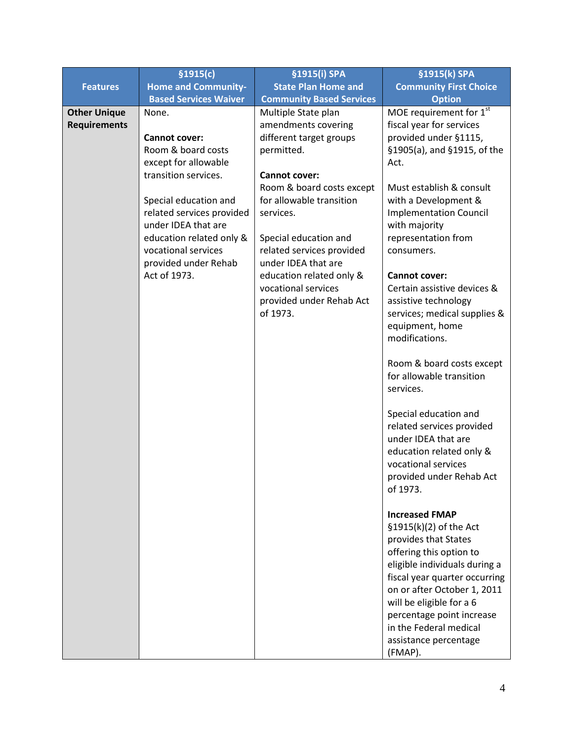|                     | \$1915(c)                                    | §1915(i) SPA                               | §1915(k) SPA                                    |
|---------------------|----------------------------------------------|--------------------------------------------|-------------------------------------------------|
| <b>Features</b>     | <b>Home and Community-</b>                   | <b>State Plan Home and</b>                 | <b>Community First Choice</b>                   |
|                     | <b>Based Services Waiver</b>                 | <b>Community Based Services</b>            | <b>Option</b>                                   |
| <b>Other Unique</b> | None.                                        | Multiple State plan                        | MOE requirement for 1st                         |
| <b>Requirements</b> |                                              | amendments covering                        | fiscal year for services                        |
|                     | <b>Cannot cover:</b>                         | different target groups                    | provided under §1115,                           |
|                     | Room & board costs                           | permitted.                                 | §1905(a), and §1915, of the                     |
|                     | except for allowable<br>transition services. |                                            | Act.                                            |
|                     |                                              | Cannot cover:<br>Room & board costs except | Must establish & consult                        |
|                     | Special education and                        | for allowable transition                   | with a Development &                            |
|                     | related services provided                    | services.                                  | <b>Implementation Council</b>                   |
|                     | under IDEA that are                          |                                            | with majority                                   |
|                     | education related only &                     | Special education and                      | representation from                             |
|                     | vocational services                          | related services provided                  | consumers.                                      |
|                     | provided under Rehab                         | under IDEA that are                        |                                                 |
|                     | Act of 1973.                                 | education related only &                   | <b>Cannot cover:</b>                            |
|                     |                                              | vocational services                        | Certain assistive devices &                     |
|                     |                                              | provided under Rehab Act                   | assistive technology                            |
|                     |                                              | of 1973.                                   | services; medical supplies &                    |
|                     |                                              |                                            | equipment, home                                 |
|                     |                                              |                                            | modifications.                                  |
|                     |                                              |                                            | Room & board costs except                       |
|                     |                                              |                                            | for allowable transition                        |
|                     |                                              |                                            | services.                                       |
|                     |                                              |                                            |                                                 |
|                     |                                              |                                            | Special education and                           |
|                     |                                              |                                            | related services provided                       |
|                     |                                              |                                            | under IDEA that are                             |
|                     |                                              |                                            | education related only &                        |
|                     |                                              |                                            | vocational services                             |
|                     |                                              |                                            | provided under Rehab Act                        |
|                     |                                              |                                            | of 1973.                                        |
|                     |                                              |                                            |                                                 |
|                     |                                              |                                            | <b>Increased FMAP</b><br>§1915(k)(2) of the Act |
|                     |                                              |                                            | provides that States                            |
|                     |                                              |                                            | offering this option to                         |
|                     |                                              |                                            | eligible individuals during a                   |
|                     |                                              |                                            | fiscal year quarter occurring                   |
|                     |                                              |                                            | on or after October 1, 2011                     |
|                     |                                              |                                            | will be eligible for a 6                        |
|                     |                                              |                                            | percentage point increase                       |
|                     |                                              |                                            | in the Federal medical                          |
|                     |                                              |                                            | assistance percentage                           |
|                     |                                              |                                            | (FMAP).                                         |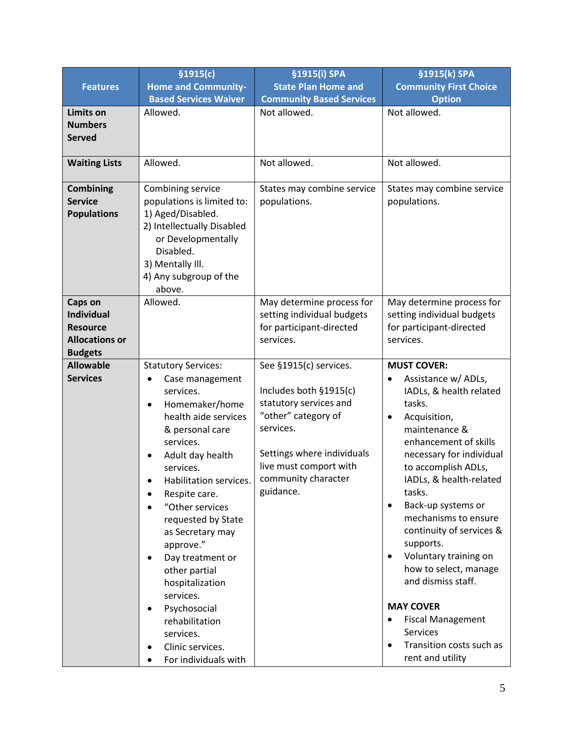|                       | \$1915(c)                                      | §1915(i) SPA                     | §1915(k) SPA                                            |
|-----------------------|------------------------------------------------|----------------------------------|---------------------------------------------------------|
| <b>Features</b>       | <b>Home and Community-</b>                     | <b>State Plan Home and</b>       | <b>Community First Choice</b>                           |
|                       | <b>Based Services Waiver</b>                   | <b>Community Based Services</b>  | <b>Option</b>                                           |
| Limits on             | Allowed.                                       | Not allowed.                     | Not allowed.                                            |
| <b>Numbers</b>        |                                                |                                  |                                                         |
| <b>Served</b>         |                                                |                                  |                                                         |
|                       |                                                |                                  |                                                         |
| <b>Waiting Lists</b>  | Allowed.                                       | Not allowed.                     | Not allowed.                                            |
|                       |                                                |                                  |                                                         |
| <b>Combining</b>      | Combining service                              | States may combine service       | States may combine service                              |
| <b>Service</b>        | populations is limited to:                     | populations.                     | populations.                                            |
| <b>Populations</b>    | 1) Aged/Disabled.                              |                                  |                                                         |
|                       | 2) Intellectually Disabled                     |                                  |                                                         |
|                       | or Developmentally<br>Disabled.                |                                  |                                                         |
|                       | 3) Mentally III.                               |                                  |                                                         |
|                       | 4) Any subgroup of the                         |                                  |                                                         |
|                       | above.                                         |                                  |                                                         |
| Caps on               | Allowed.                                       | May determine process for        | May determine process for                               |
| <b>Individual</b>     |                                                | setting individual budgets       | setting individual budgets                              |
| <b>Resource</b>       |                                                | for participant-directed         | for participant-directed                                |
| <b>Allocations or</b> |                                                | services.                        | services.                                               |
| <b>Budgets</b>        |                                                |                                  |                                                         |
| <b>Allowable</b>      | <b>Statutory Services:</b>                     | See §1915(c) services.           | <b>MUST COVER:</b>                                      |
| <b>Services</b>       | Case management<br>$\bullet$                   |                                  | Assistance w/ ADLs,<br>$\bullet$                        |
|                       | services.                                      | Includes both §1915(c)           | IADLs, & health related                                 |
|                       | Homemaker/home<br>$\bullet$                    | statutory services and           | tasks.                                                  |
|                       | health aide services                           | "other" category of              | Acquisition,<br>$\bullet$                               |
|                       | & personal care                                | services.                        | maintenance &                                           |
|                       | services.                                      |                                  | enhancement of skills                                   |
|                       | Adult day health                               | Settings where individuals       | necessary for individual                                |
|                       | services.                                      | live must comport with           | to accomplish ADLs,                                     |
|                       | Habilitation services.                         | community character<br>guidance. | IADLs, & health-related                                 |
|                       | Respite care.                                  |                                  | tasks.                                                  |
|                       | "Other services                                |                                  | Back-up systems or<br>$\bullet$<br>mechanisms to ensure |
|                       | requested by State                             |                                  | continuity of services &                                |
|                       | as Secretary may                               |                                  | supports.                                               |
|                       | approve."                                      |                                  | Voluntary training on<br>$\bullet$                      |
|                       | Day treatment or<br>$\bullet$<br>other partial |                                  | how to select, manage                                   |
|                       | hospitalization                                |                                  | and dismiss staff.                                      |
|                       | services.                                      |                                  |                                                         |
|                       | Psychosocial<br>$\bullet$                      |                                  | <b>MAY COVER</b>                                        |
|                       | rehabilitation                                 |                                  | <b>Fiscal Management</b><br>$\bullet$                   |
|                       | services.                                      |                                  | Services                                                |
|                       | Clinic services.                               |                                  | Transition costs such as<br>$\bullet$                   |
|                       | For individuals with                           |                                  | rent and utility                                        |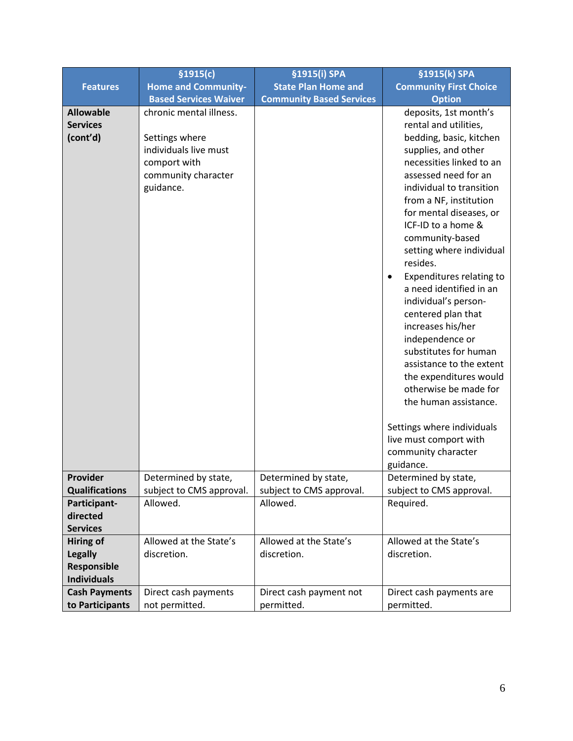|                                                 | \$1915(c)                                                                                                              | §1915(i) SPA                          | §1915(k) SPA                                                                                                                                                                                                                                                                                                                                                                                                                                                                                                                                                                                                                                                                                     |
|-------------------------------------------------|------------------------------------------------------------------------------------------------------------------------|---------------------------------------|--------------------------------------------------------------------------------------------------------------------------------------------------------------------------------------------------------------------------------------------------------------------------------------------------------------------------------------------------------------------------------------------------------------------------------------------------------------------------------------------------------------------------------------------------------------------------------------------------------------------------------------------------------------------------------------------------|
| <b>Features</b>                                 | <b>Home and Community-</b>                                                                                             | <b>State Plan Home and</b>            | <b>Community First Choice</b>                                                                                                                                                                                                                                                                                                                                                                                                                                                                                                                                                                                                                                                                    |
|                                                 | <b>Based Services Waiver</b>                                                                                           | <b>Community Based Services</b>       | <b>Option</b>                                                                                                                                                                                                                                                                                                                                                                                                                                                                                                                                                                                                                                                                                    |
| <b>Allowable</b><br><b>Services</b><br>(cont'd) | chronic mental illness.<br>Settings where<br>individuals live must<br>comport with<br>community character<br>guidance. |                                       | deposits, 1st month's<br>rental and utilities,<br>bedding, basic, kitchen<br>supplies, and other<br>necessities linked to an<br>assessed need for an<br>individual to transition<br>from a NF, institution<br>for mental diseases, or<br>ICF-ID to a home &<br>community-based<br>setting where individual<br>resides.<br>Expenditures relating to<br>$\bullet$<br>a need identified in an<br>individual's person-<br>centered plan that<br>increases his/her<br>independence or<br>substitutes for human<br>assistance to the extent<br>the expenditures would<br>otherwise be made for<br>the human assistance.<br>Settings where individuals<br>live must comport with<br>community character |
| Provider                                        | Determined by state,                                                                                                   | Determined by state,                  | guidance.<br>Determined by state,                                                                                                                                                                                                                                                                                                                                                                                                                                                                                                                                                                                                                                                                |
| <b>Qualifications</b>                           | subject to CMS approval.                                                                                               | subject to CMS approval.              | subject to CMS approval.                                                                                                                                                                                                                                                                                                                                                                                                                                                                                                                                                                                                                                                                         |
| Participant-                                    | Allowed.                                                                                                               | Allowed.                              | Required.                                                                                                                                                                                                                                                                                                                                                                                                                                                                                                                                                                                                                                                                                        |
| directed                                        |                                                                                                                        |                                       |                                                                                                                                                                                                                                                                                                                                                                                                                                                                                                                                                                                                                                                                                                  |
| <b>Services</b>                                 |                                                                                                                        |                                       |                                                                                                                                                                                                                                                                                                                                                                                                                                                                                                                                                                                                                                                                                                  |
| <b>Hiring of</b>                                | Allowed at the State's                                                                                                 | Allowed at the State's                | Allowed at the State's                                                                                                                                                                                                                                                                                                                                                                                                                                                                                                                                                                                                                                                                           |
| <b>Legally</b>                                  | discretion.                                                                                                            | discretion.                           | discretion.                                                                                                                                                                                                                                                                                                                                                                                                                                                                                                                                                                                                                                                                                      |
| <b>Responsible</b>                              |                                                                                                                        |                                       |                                                                                                                                                                                                                                                                                                                                                                                                                                                                                                                                                                                                                                                                                                  |
| <b>Individuals</b>                              |                                                                                                                        |                                       |                                                                                                                                                                                                                                                                                                                                                                                                                                                                                                                                                                                                                                                                                                  |
| <b>Cash Payments</b><br>to Participants         | Direct cash payments<br>not permitted.                                                                                 | Direct cash payment not<br>permitted. | Direct cash payments are<br>permitted.                                                                                                                                                                                                                                                                                                                                                                                                                                                                                                                                                                                                                                                           |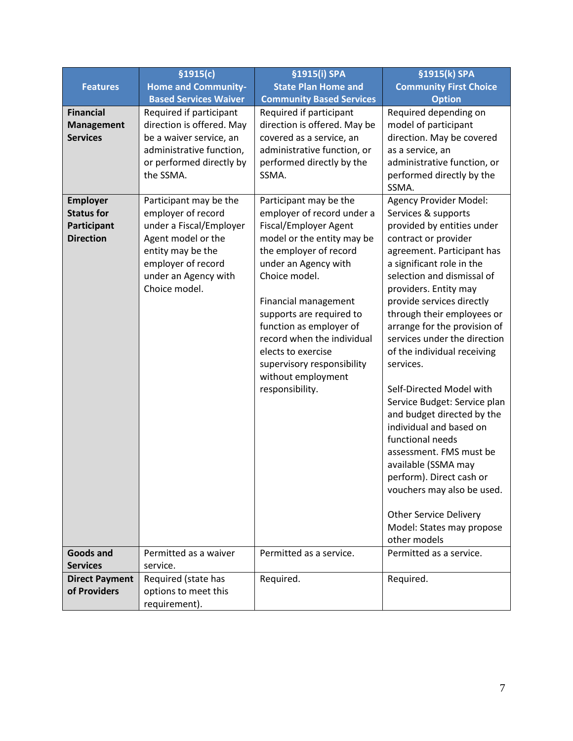|                                                                         | \$1915(c)                                                                                                                                                                         | §1915(i) SPA                                                                                                                                                                                                                                                                                                                                                                             | §1915(k) SPA                                                                                                                                                                                                                                                                                                                                                                                                                                                                                                                                                                                                                                      |
|-------------------------------------------------------------------------|-----------------------------------------------------------------------------------------------------------------------------------------------------------------------------------|------------------------------------------------------------------------------------------------------------------------------------------------------------------------------------------------------------------------------------------------------------------------------------------------------------------------------------------------------------------------------------------|---------------------------------------------------------------------------------------------------------------------------------------------------------------------------------------------------------------------------------------------------------------------------------------------------------------------------------------------------------------------------------------------------------------------------------------------------------------------------------------------------------------------------------------------------------------------------------------------------------------------------------------------------|
| <b>Features</b>                                                         | <b>Home and Community-</b>                                                                                                                                                        | <b>State Plan Home and</b>                                                                                                                                                                                                                                                                                                                                                               | <b>Community First Choice</b>                                                                                                                                                                                                                                                                                                                                                                                                                                                                                                                                                                                                                     |
|                                                                         | <b>Based Services Waiver</b>                                                                                                                                                      | <b>Community Based Services</b>                                                                                                                                                                                                                                                                                                                                                          | <b>Option</b>                                                                                                                                                                                                                                                                                                                                                                                                                                                                                                                                                                                                                                     |
| <b>Financial</b><br><b>Management</b><br><b>Services</b>                | Required if participant<br>direction is offered. May<br>be a waiver service, an<br>administrative function,<br>or performed directly by<br>the SSMA.                              | Required if participant<br>direction is offered. May be<br>covered as a service, an<br>administrative function, or<br>performed directly by the<br>SSMA.                                                                                                                                                                                                                                 | Required depending on<br>model of participant<br>direction. May be covered<br>as a service, an<br>administrative function, or<br>performed directly by the<br>SSMA.                                                                                                                                                                                                                                                                                                                                                                                                                                                                               |
| <b>Employer</b><br><b>Status for</b><br>Participant<br><b>Direction</b> | Participant may be the<br>employer of record<br>under a Fiscal/Employer<br>Agent model or the<br>entity may be the<br>employer of record<br>under an Agency with<br>Choice model. | Participant may be the<br>employer of record under a<br>Fiscal/Employer Agent<br>model or the entity may be<br>the employer of record<br>under an Agency with<br>Choice model.<br>Financial management<br>supports are required to<br>function as employer of<br>record when the individual<br>elects to exercise<br>supervisory responsibility<br>without employment<br>responsibility. | Agency Provider Model:<br>Services & supports<br>provided by entities under<br>contract or provider<br>agreement. Participant has<br>a significant role in the<br>selection and dismissal of<br>providers. Entity may<br>provide services directly<br>through their employees or<br>arrange for the provision of<br>services under the direction<br>of the individual receiving<br>services.<br>Self-Directed Model with<br>Service Budget: Service plan<br>and budget directed by the<br>individual and based on<br>functional needs<br>assessment. FMS must be<br>available (SSMA may<br>perform). Direct cash or<br>vouchers may also be used. |
|                                                                         |                                                                                                                                                                                   |                                                                                                                                                                                                                                                                                                                                                                                          | <b>Other Service Delivery</b><br>Model: States may propose<br>other models                                                                                                                                                                                                                                                                                                                                                                                                                                                                                                                                                                        |
| <b>Goods and</b><br><b>Services</b>                                     | Permitted as a waiver<br>service.                                                                                                                                                 | Permitted as a service.                                                                                                                                                                                                                                                                                                                                                                  | Permitted as a service.                                                                                                                                                                                                                                                                                                                                                                                                                                                                                                                                                                                                                           |
| <b>Direct Payment</b><br>of Providers                                   | Required (state has<br>options to meet this<br>requirement).                                                                                                                      | Required.                                                                                                                                                                                                                                                                                                                                                                                | Required.                                                                                                                                                                                                                                                                                                                                                                                                                                                                                                                                                                                                                                         |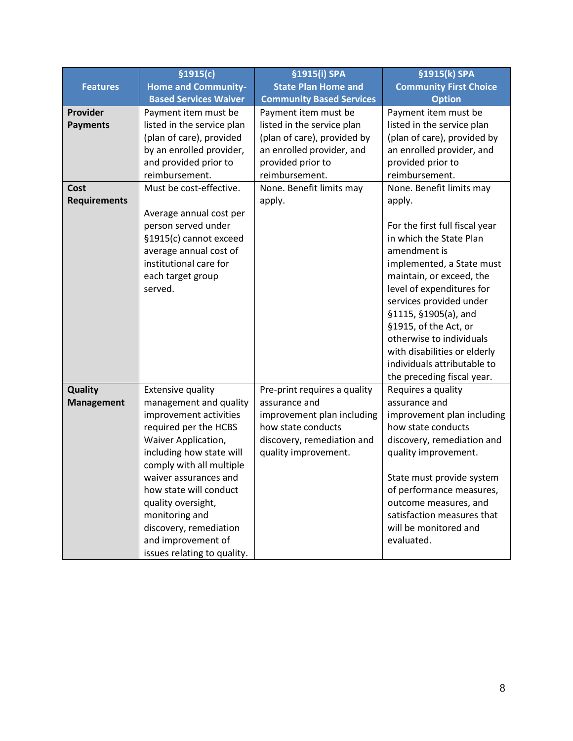|                     | \$1915(c)                    | §1915(i) SPA                    | §1915(k) SPA                                  |
|---------------------|------------------------------|---------------------------------|-----------------------------------------------|
| <b>Features</b>     | <b>Home and Community-</b>   | <b>State Plan Home and</b>      | <b>Community First Choice</b>                 |
|                     | <b>Based Services Waiver</b> | <b>Community Based Services</b> | <b>Option</b>                                 |
| Provider            | Payment item must be         | Payment item must be            | Payment item must be                          |
| <b>Payments</b>     | listed in the service plan   | listed in the service plan      | listed in the service plan                    |
|                     | (plan of care), provided     | (plan of care), provided by     | (plan of care), provided by                   |
|                     | by an enrolled provider,     | an enrolled provider, and       | an enrolled provider, and                     |
|                     | and provided prior to        | provided prior to               | provided prior to                             |
|                     | reimbursement.               | reimbursement.                  | reimbursement.                                |
| Cost                | Must be cost-effective.      | None. Benefit limits may        | None. Benefit limits may                      |
| <b>Requirements</b> |                              | apply.                          | apply.                                        |
|                     | Average annual cost per      |                                 |                                               |
|                     | person served under          |                                 | For the first full fiscal year                |
|                     | §1915(c) cannot exceed       |                                 | in which the State Plan                       |
|                     | average annual cost of       |                                 | amendment is                                  |
|                     | institutional care for       |                                 | implemented, a State must                     |
|                     | each target group            |                                 | maintain, or exceed, the                      |
|                     | served.                      |                                 | level of expenditures for                     |
|                     |                              |                                 | services provided under                       |
|                     |                              |                                 | §1115, §1905(a), and<br>§1915, of the Act, or |
|                     |                              |                                 | otherwise to individuals                      |
|                     |                              |                                 | with disabilities or elderly                  |
|                     |                              |                                 | individuals attributable to                   |
|                     |                              |                                 | the preceding fiscal year.                    |
| Quality             | <b>Extensive quality</b>     | Pre-print requires a quality    | Requires a quality                            |
| <b>Management</b>   | management and quality       | assurance and                   | assurance and                                 |
|                     | improvement activities       | improvement plan including      | improvement plan including                    |
|                     | required per the HCBS        | how state conducts              | how state conducts                            |
|                     | Waiver Application,          | discovery, remediation and      | discovery, remediation and                    |
|                     | including how state will     | quality improvement.            | quality improvement.                          |
|                     | comply with all multiple     |                                 |                                               |
|                     | waiver assurances and        |                                 | State must provide system                     |
|                     | how state will conduct       |                                 | of performance measures,                      |
|                     | quality oversight,           |                                 | outcome measures, and                         |
|                     | monitoring and               |                                 | satisfaction measures that                    |
|                     | discovery, remediation       |                                 | will be monitored and                         |
|                     | and improvement of           |                                 | evaluated.                                    |
|                     | issues relating to quality.  |                                 |                                               |